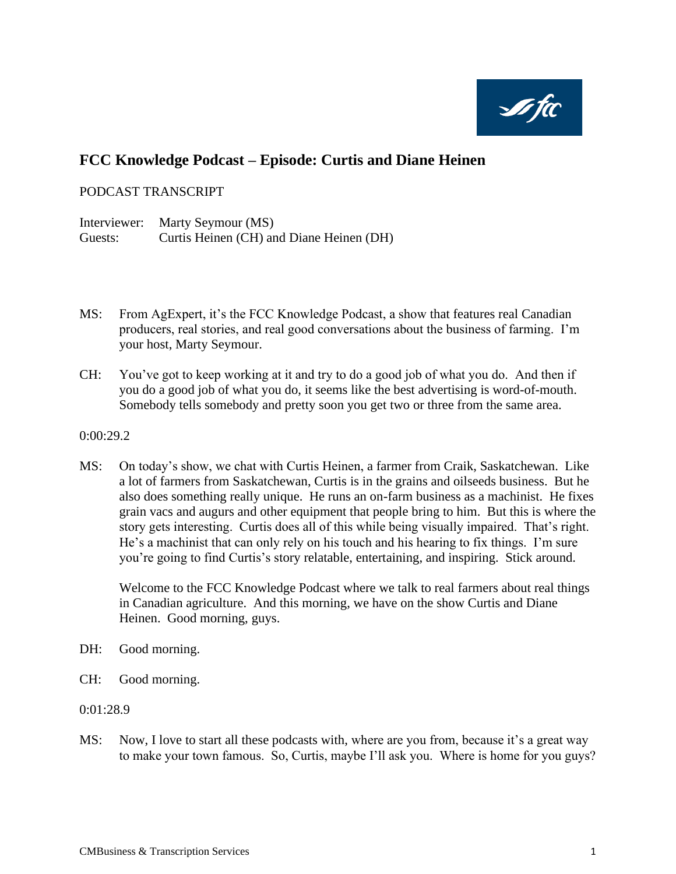

# **FCC Knowledge Podcast – Episode: Curtis and Diane Heinen**

# PODCAST TRANSCRIPT

Interviewer: Marty Seymour (MS) Guests: Curtis Heinen (CH) and Diane Heinen (DH)

- MS: From AgExpert, it's the FCC Knowledge Podcast, a show that features real Canadian producers, real stories, and real good conversations about the business of farming. I'm your host, Marty Seymour.
- CH: You've got to keep working at it and try to do a good job of what you do. And then if you do a good job of what you do, it seems like the best advertising is word-of-mouth. Somebody tells somebody and pretty soon you get two or three from the same area.
- 0:00:29.2
- MS: On today's show, we chat with Curtis Heinen, a farmer from Craik, Saskatchewan. Like a lot of farmers from Saskatchewan, Curtis is in the grains and oilseeds business. But he also does something really unique. He runs an on-farm business as a machinist. He fixes grain vacs and augurs and other equipment that people bring to him. But this is where the story gets interesting. Curtis does all of this while being visually impaired. That's right. He's a machinist that can only rely on his touch and his hearing to fix things. I'm sure you're going to find Curtis's story relatable, entertaining, and inspiring. Stick around.

Welcome to the FCC Knowledge Podcast where we talk to real farmers about real things in Canadian agriculture. And this morning, we have on the show Curtis and Diane Heinen. Good morning, guys.

- DH: Good morning.
- CH: Good morning.
- 0:01:28.9
- MS: Now, I love to start all these podcasts with, where are you from, because it's a great way to make your town famous. So, Curtis, maybe I'll ask you. Where is home for you guys?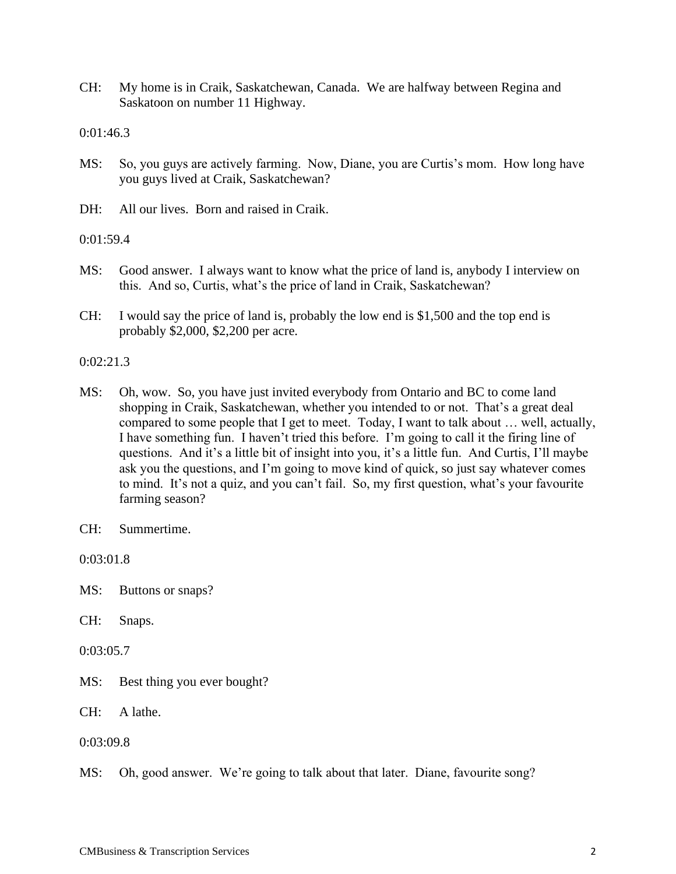CH: My home is in Craik, Saskatchewan, Canada. We are halfway between Regina and Saskatoon on number 11 Highway.

0:01:46.3

- MS: So, you guys are actively farming. Now, Diane, you are Curtis's mom. How long have you guys lived at Craik, Saskatchewan?
- DH: All our lives. Born and raised in Craik.

0:01:59.4

- MS: Good answer. I always want to know what the price of land is, anybody I interview on this. And so, Curtis, what's the price of land in Craik, Saskatchewan?
- CH: I would say the price of land is, probably the low end is \$1,500 and the top end is probably \$2,000, \$2,200 per acre.

0:02:21.3

MS: Oh, wow. So, you have just invited everybody from Ontario and BC to come land shopping in Craik, Saskatchewan, whether you intended to or not. That's a great deal compared to some people that I get to meet. Today, I want to talk about … well, actually, I have something fun. I haven't tried this before. I'm going to call it the firing line of questions. And it's a little bit of insight into you, it's a little fun. And Curtis, I'll maybe ask you the questions, and I'm going to move kind of quick, so just say whatever comes to mind. It's not a quiz, and you can't fail. So, my first question, what's your favourite farming season?

0:03:01.8

MS: Buttons or snaps?

CH: Snaps.

0:03:05.7

MS: Best thing you ever bought?

CH: A lathe.

0:03:09.8

MS: Oh, good answer. We're going to talk about that later. Diane, favourite song?

CH: Summertime.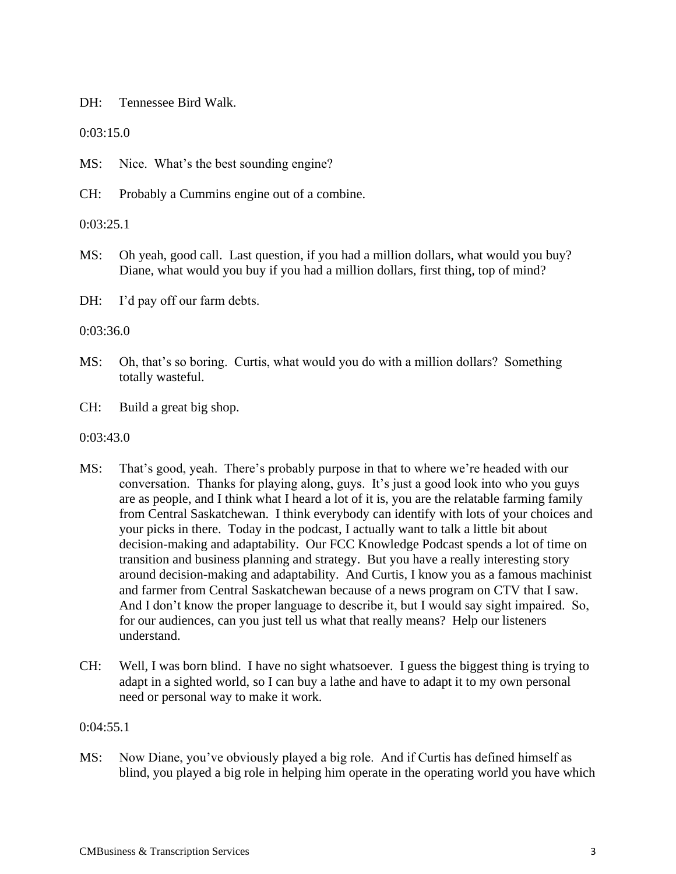DH: Tennessee Bird Walk.

0:03:15.0

MS: Nice. What's the best sounding engine?

CH: Probably a Cummins engine out of a combine.

0:03:25.1

MS: Oh yeah, good call. Last question, if you had a million dollars, what would you buy? Diane, what would you buy if you had a million dollars, first thing, top of mind?

DH: I'd pay off our farm debts.

0:03:36.0

- MS: Oh, that's so boring. Curtis, what would you do with a million dollars? Something totally wasteful.
- CH: Build a great big shop.

0:03:43.0

- MS: That's good, yeah. There's probably purpose in that to where we're headed with our conversation. Thanks for playing along, guys. It's just a good look into who you guys are as people, and I think what I heard a lot of it is, you are the relatable farming family from Central Saskatchewan. I think everybody can identify with lots of your choices and your picks in there. Today in the podcast, I actually want to talk a little bit about decision-making and adaptability. Our FCC Knowledge Podcast spends a lot of time on transition and business planning and strategy. But you have a really interesting story around decision-making and adaptability. And Curtis, I know you as a famous machinist and farmer from Central Saskatchewan because of a news program on CTV that I saw. And I don't know the proper language to describe it, but I would say sight impaired. So, for our audiences, can you just tell us what that really means? Help our listeners understand.
- CH: Well, I was born blind. I have no sight whatsoever. I guess the biggest thing is trying to adapt in a sighted world, so I can buy a lathe and have to adapt it to my own personal need or personal way to make it work.

0:04:55.1

MS: Now Diane, you've obviously played a big role. And if Curtis has defined himself as blind, you played a big role in helping him operate in the operating world you have which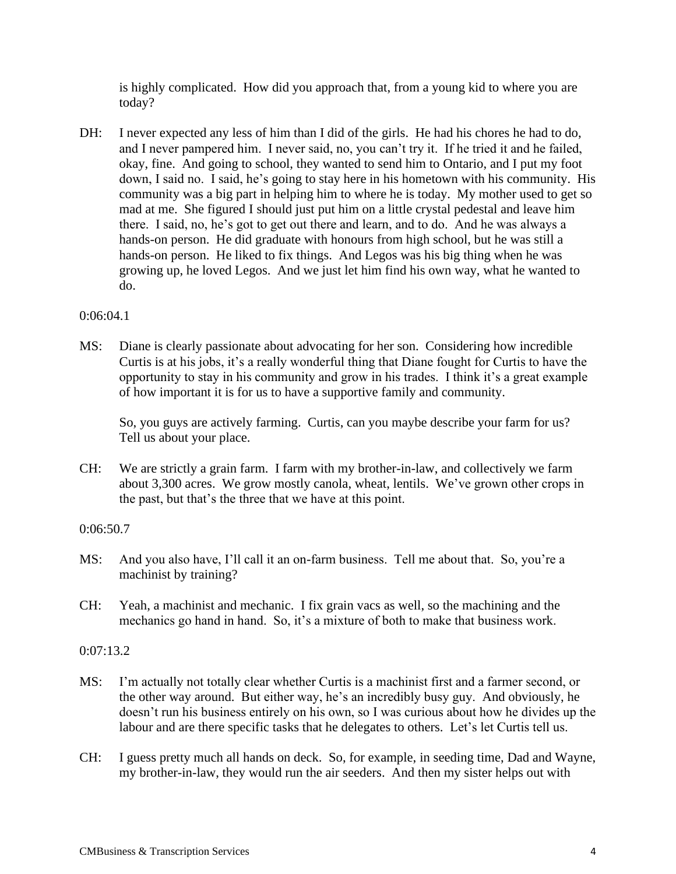is highly complicated. How did you approach that, from a young kid to where you are today?

DH: I never expected any less of him than I did of the girls. He had his chores he had to do, and I never pampered him. I never said, no, you can't try it. If he tried it and he failed, okay, fine. And going to school, they wanted to send him to Ontario, and I put my foot down, I said no. I said, he's going to stay here in his hometown with his community. His community was a big part in helping him to where he is today. My mother used to get so mad at me. She figured I should just put him on a little crystal pedestal and leave him there. I said, no, he's got to get out there and learn, and to do. And he was always a hands-on person. He did graduate with honours from high school, but he was still a hands-on person. He liked to fix things. And Legos was his big thing when he was growing up, he loved Legos. And we just let him find his own way, what he wanted to do.

# 0:06:04.1

MS: Diane is clearly passionate about advocating for her son. Considering how incredible Curtis is at his jobs, it's a really wonderful thing that Diane fought for Curtis to have the opportunity to stay in his community and grow in his trades. I think it's a great example of how important it is for us to have a supportive family and community.

So, you guys are actively farming. Curtis, can you maybe describe your farm for us? Tell us about your place.

CH: We are strictly a grain farm. I farm with my brother-in-law, and collectively we farm about 3,300 acres. We grow mostly canola, wheat, lentils. We've grown other crops in the past, but that's the three that we have at this point.

# 0:06:50.7

- MS: And you also have, I'll call it an on-farm business. Tell me about that. So, you're a machinist by training?
- CH: Yeah, a machinist and mechanic. I fix grain vacs as well, so the machining and the mechanics go hand in hand. So, it's a mixture of both to make that business work.

# 0:07:13.2

- MS: I'm actually not totally clear whether Curtis is a machinist first and a farmer second, or the other way around. But either way, he's an incredibly busy guy. And obviously, he doesn't run his business entirely on his own, so I was curious about how he divides up the labour and are there specific tasks that he delegates to others. Let's let Curtis tell us.
- CH: I guess pretty much all hands on deck. So, for example, in seeding time, Dad and Wayne, my brother-in-law, they would run the air seeders. And then my sister helps out with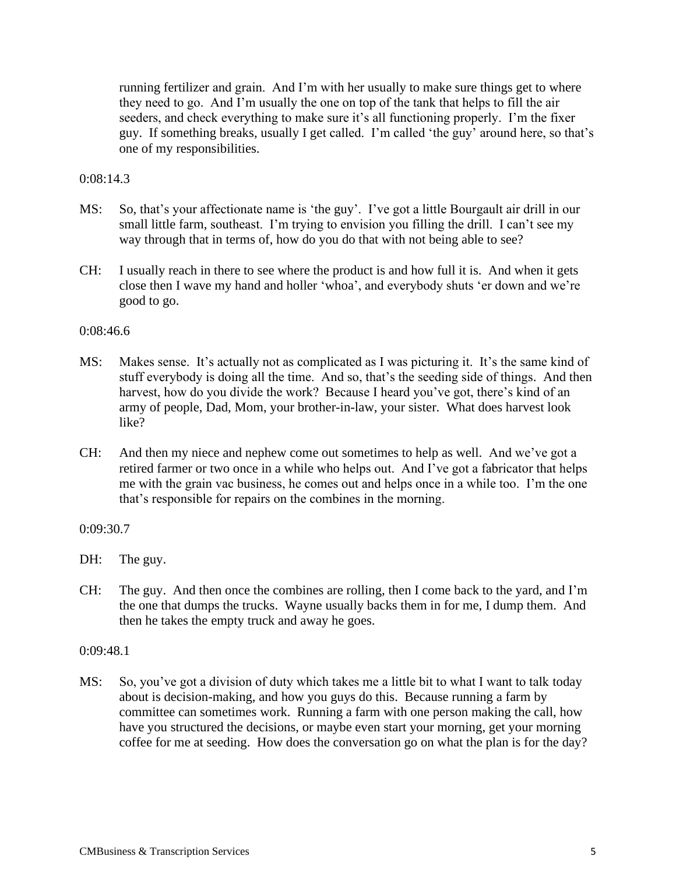running fertilizer and grain. And I'm with her usually to make sure things get to where they need to go. And I'm usually the one on top of the tank that helps to fill the air seeders, and check everything to make sure it's all functioning properly. I'm the fixer guy. If something breaks, usually I get called. I'm called 'the guy' around here, so that's one of my responsibilities.

# $0:08:14.3$

- MS: So, that's your affectionate name is 'the guy'. I've got a little Bourgault air drill in our small little farm, southeast. I'm trying to envision you filling the drill. I can't see my way through that in terms of, how do you do that with not being able to see?
- CH: I usually reach in there to see where the product is and how full it is. And when it gets close then I wave my hand and holler 'whoa', and everybody shuts 'er down and we're good to go.

### 0:08:46.6

- MS: Makes sense. It's actually not as complicated as I was picturing it. It's the same kind of stuff everybody is doing all the time. And so, that's the seeding side of things. And then harvest, how do you divide the work? Because I heard you've got, there's kind of an army of people, Dad, Mom, your brother-in-law, your sister. What does harvest look like?
- CH: And then my niece and nephew come out sometimes to help as well. And we've got a retired farmer or two once in a while who helps out. And I've got a fabricator that helps me with the grain vac business, he comes out and helps once in a while too. I'm the one that's responsible for repairs on the combines in the morning.

# 0:09:30.7

- DH: The guy.
- CH: The guy. And then once the combines are rolling, then I come back to the yard, and I'm the one that dumps the trucks. Wayne usually backs them in for me, I dump them. And then he takes the empty truck and away he goes.

#### 0:09:48.1

MS: So, you've got a division of duty which takes me a little bit to what I want to talk today about is decision-making, and how you guys do this. Because running a farm by committee can sometimes work. Running a farm with one person making the call, how have you structured the decisions, or maybe even start your morning, get your morning coffee for me at seeding. How does the conversation go on what the plan is for the day?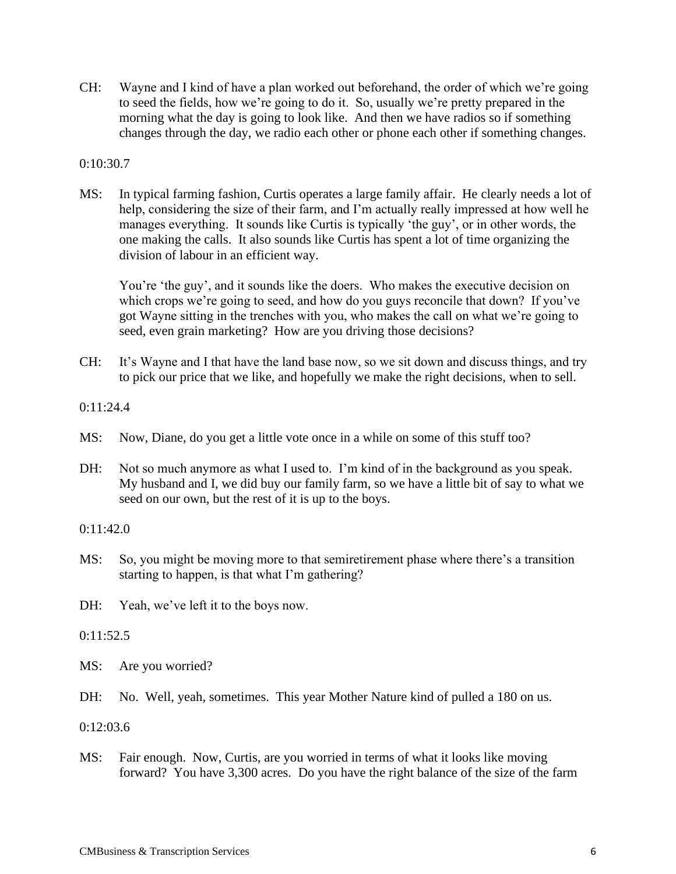CH: Wayne and I kind of have a plan worked out beforehand, the order of which we're going to seed the fields, how we're going to do it. So, usually we're pretty prepared in the morning what the day is going to look like. And then we have radios so if something changes through the day, we radio each other or phone each other if something changes.

# 0:10:30.7

MS: In typical farming fashion, Curtis operates a large family affair. He clearly needs a lot of help, considering the size of their farm, and I'm actually really impressed at how well he manages everything. It sounds like Curtis is typically 'the guy', or in other words, the one making the calls. It also sounds like Curtis has spent a lot of time organizing the division of labour in an efficient way.

You're 'the guy', and it sounds like the doers. Who makes the executive decision on which crops we're going to seed, and how do you guys reconcile that down? If you've got Wayne sitting in the trenches with you, who makes the call on what we're going to seed, even grain marketing? How are you driving those decisions?

CH: It's Wayne and I that have the land base now, so we sit down and discuss things, and try to pick our price that we like, and hopefully we make the right decisions, when to sell.

0:11:24.4

- MS: Now, Diane, do you get a little vote once in a while on some of this stuff too?
- DH: Not so much anymore as what I used to. I'm kind of in the background as you speak. My husband and I, we did buy our family farm, so we have a little bit of say to what we seed on our own, but the rest of it is up to the boys.

#### 0:11:42.0

MS: So, you might be moving more to that semiretirement phase where there's a transition starting to happen, is that what I'm gathering?

DH: Yeah, we've left it to the boys now.

 $0:11:52.5$ 

- MS: Are you worried?
- DH: No. Well, yeah, sometimes. This year Mother Nature kind of pulled a 180 on us.

0:12:03.6

MS: Fair enough. Now, Curtis, are you worried in terms of what it looks like moving forward? You have 3,300 acres. Do you have the right balance of the size of the farm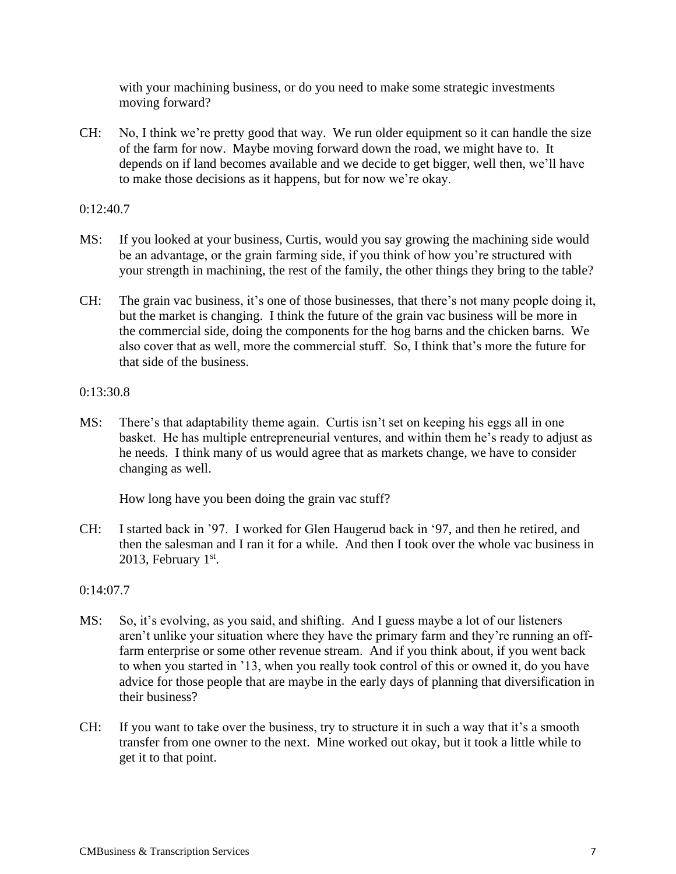with your machining business, or do you need to make some strategic investments moving forward?

CH: No, I think we're pretty good that way. We run older equipment so it can handle the size of the farm for now. Maybe moving forward down the road, we might have to. It depends on if land becomes available and we decide to get bigger, well then, we'll have to make those decisions as it happens, but for now we're okay.

# 0:12:40.7

- MS: If you looked at your business, Curtis, would you say growing the machining side would be an advantage, or the grain farming side, if you think of how you're structured with your strength in machining, the rest of the family, the other things they bring to the table?
- CH: The grain vac business, it's one of those businesses, that there's not many people doing it, but the market is changing. I think the future of the grain vac business will be more in the commercial side, doing the components for the hog barns and the chicken barns. We also cover that as well, more the commercial stuff. So, I think that's more the future for that side of the business.

# 0:13:30.8

MS: There's that adaptability theme again. Curtis isn't set on keeping his eggs all in one basket. He has multiple entrepreneurial ventures, and within them he's ready to adjust as he needs. I think many of us would agree that as markets change, we have to consider changing as well.

How long have you been doing the grain vac stuff?

CH: I started back in '97. I worked for Glen Haugerud back in '97, and then he retired, and then the salesman and I ran it for a while. And then I took over the whole vac business in 2013, February  $1<sup>st</sup>$ .

# 0:14:07.7

- MS: So, it's evolving, as you said, and shifting. And I guess maybe a lot of our listeners aren't unlike your situation where they have the primary farm and they're running an offfarm enterprise or some other revenue stream. And if you think about, if you went back to when you started in '13, when you really took control of this or owned it, do you have advice for those people that are maybe in the early days of planning that diversification in their business?
- CH: If you want to take over the business, try to structure it in such a way that it's a smooth transfer from one owner to the next. Mine worked out okay, but it took a little while to get it to that point.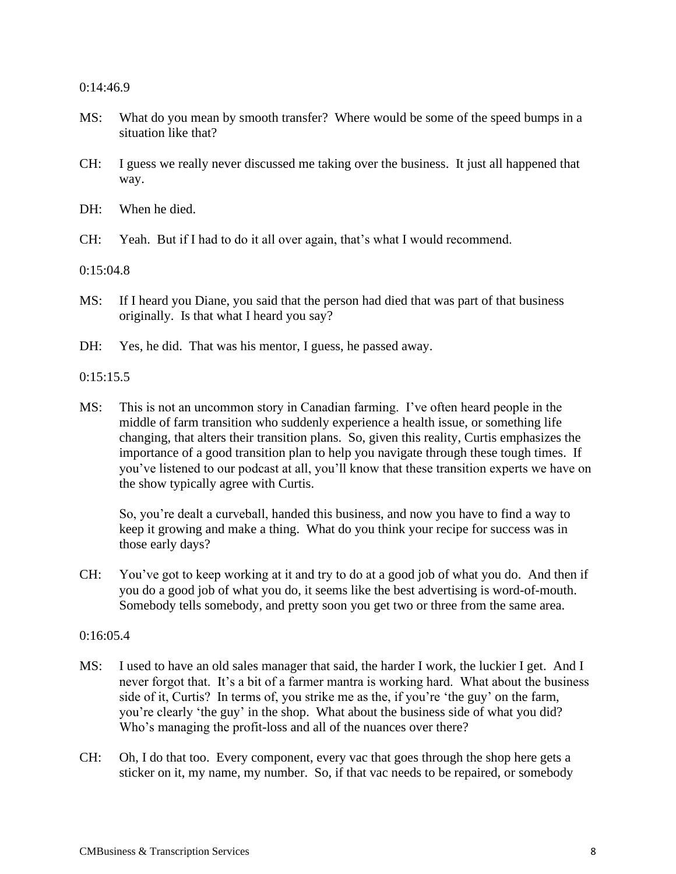#### 0:14:46.9

- MS: What do you mean by smooth transfer? Where would be some of the speed bumps in a situation like that?
- CH: I guess we really never discussed me taking over the business. It just all happened that way.
- DH: When he died.
- CH: Yeah. But if I had to do it all over again, that's what I would recommend.

0:15:04.8

- MS: If I heard you Diane, you said that the person had died that was part of that business originally. Is that what I heard you say?
- DH: Yes, he did. That was his mentor, I guess, he passed away.

0:15:15.5

MS: This is not an uncommon story in Canadian farming. I've often heard people in the middle of farm transition who suddenly experience a health issue, or something life changing, that alters their transition plans. So, given this reality, Curtis emphasizes the importance of a good transition plan to help you navigate through these tough times. If you've listened to our podcast at all, you'll know that these transition experts we have on the show typically agree with Curtis.

So, you're dealt a curveball, handed this business, and now you have to find a way to keep it growing and make a thing. What do you think your recipe for success was in those early days?

CH: You've got to keep working at it and try to do at a good job of what you do. And then if you do a good job of what you do, it seems like the best advertising is word-of-mouth. Somebody tells somebody, and pretty soon you get two or three from the same area.

#### $0:16:05.4$

- MS: I used to have an old sales manager that said, the harder I work, the luckier I get. And I never forgot that. It's a bit of a farmer mantra is working hard. What about the business side of it, Curtis? In terms of, you strike me as the, if you're 'the guy' on the farm, you're clearly 'the guy' in the shop. What about the business side of what you did? Who's managing the profit-loss and all of the nuances over there?
- CH: Oh, I do that too. Every component, every vac that goes through the shop here gets a sticker on it, my name, my number. So, if that vac needs to be repaired, or somebody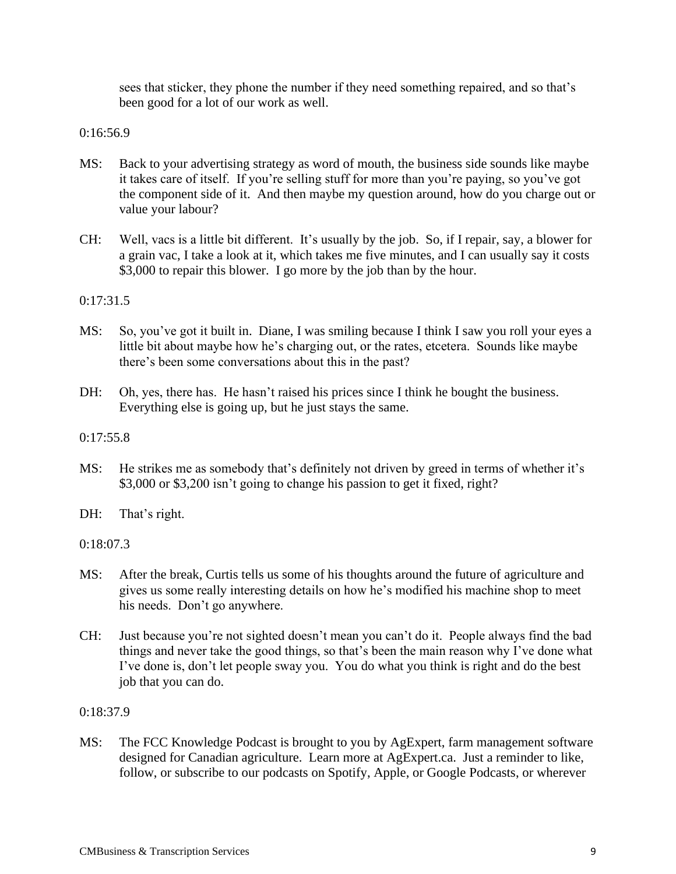sees that sticker, they phone the number if they need something repaired, and so that's been good for a lot of our work as well.

0:16:56.9

- MS: Back to your advertising strategy as word of mouth, the business side sounds like maybe it takes care of itself. If you're selling stuff for more than you're paying, so you've got the component side of it. And then maybe my question around, how do you charge out or value your labour?
- CH: Well, vacs is a little bit different. It's usually by the job. So, if I repair, say, a blower for a grain vac, I take a look at it, which takes me five minutes, and I can usually say it costs \$3,000 to repair this blower. I go more by the job than by the hour.

0:17:31.5

- MS: So, you've got it built in. Diane, I was smiling because I think I saw you roll your eyes a little bit about maybe how he's charging out, or the rates, etcetera. Sounds like maybe there's been some conversations about this in the past?
- DH: Oh, yes, there has. He hasn't raised his prices since I think he bought the business. Everything else is going up, but he just stays the same.

 $0:17:55.8$ 

- MS: He strikes me as somebody that's definitely not driven by greed in terms of whether it's \$3,000 or \$3,200 isn't going to change his passion to get it fixed, right?
- DH: That's right.

0:18:07.3

- MS: After the break, Curtis tells us some of his thoughts around the future of agriculture and gives us some really interesting details on how he's modified his machine shop to meet his needs. Don't go anywhere.
- CH: Just because you're not sighted doesn't mean you can't do it. People always find the bad things and never take the good things, so that's been the main reason why I've done what I've done is, don't let people sway you. You do what you think is right and do the best job that you can do.

0:18:37.9

MS: The FCC Knowledge Podcast is brought to you by AgExpert, farm management software designed for Canadian agriculture. Learn more at AgExpert.ca. Just a reminder to like, follow, or subscribe to our podcasts on Spotify, Apple, or Google Podcasts, or wherever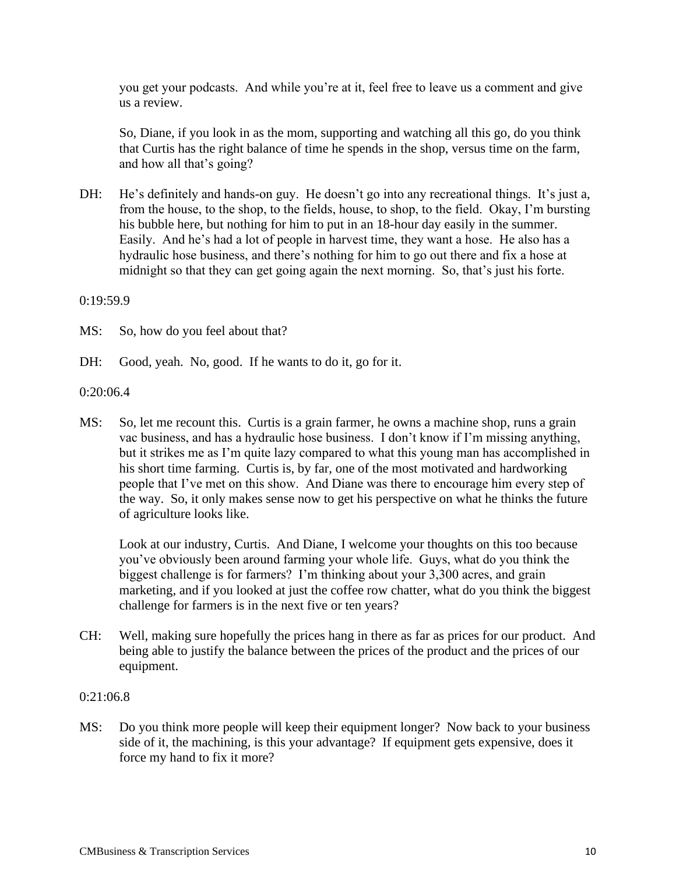you get your podcasts. And while you're at it, feel free to leave us a comment and give us a review.

So, Diane, if you look in as the mom, supporting and watching all this go, do you think that Curtis has the right balance of time he spends in the shop, versus time on the farm, and how all that's going?

DH: He's definitely and hands-on guy. He doesn't go into any recreational things. It's just a, from the house, to the shop, to the fields, house, to shop, to the field. Okay, I'm bursting his bubble here, but nothing for him to put in an 18-hour day easily in the summer. Easily. And he's had a lot of people in harvest time, they want a hose. He also has a hydraulic hose business, and there's nothing for him to go out there and fix a hose at midnight so that they can get going again the next morning. So, that's just his forte.

0:19:59.9

MS: So, how do you feel about that?

DH: Good, yeah. No, good. If he wants to do it, go for it.

0:20:06.4

MS: So, let me recount this. Curtis is a grain farmer, he owns a machine shop, runs a grain vac business, and has a hydraulic hose business. I don't know if I'm missing anything, but it strikes me as I'm quite lazy compared to what this young man has accomplished in his short time farming. Curtis is, by far, one of the most motivated and hardworking people that I've met on this show. And Diane was there to encourage him every step of the way. So, it only makes sense now to get his perspective on what he thinks the future of agriculture looks like.

Look at our industry, Curtis. And Diane, I welcome your thoughts on this too because you've obviously been around farming your whole life. Guys, what do you think the biggest challenge is for farmers? I'm thinking about your 3,300 acres, and grain marketing, and if you looked at just the coffee row chatter, what do you think the biggest challenge for farmers is in the next five or ten years?

CH: Well, making sure hopefully the prices hang in there as far as prices for our product. And being able to justify the balance between the prices of the product and the prices of our equipment.

#### 0:21:06.8

MS: Do you think more people will keep their equipment longer? Now back to your business side of it, the machining, is this your advantage? If equipment gets expensive, does it force my hand to fix it more?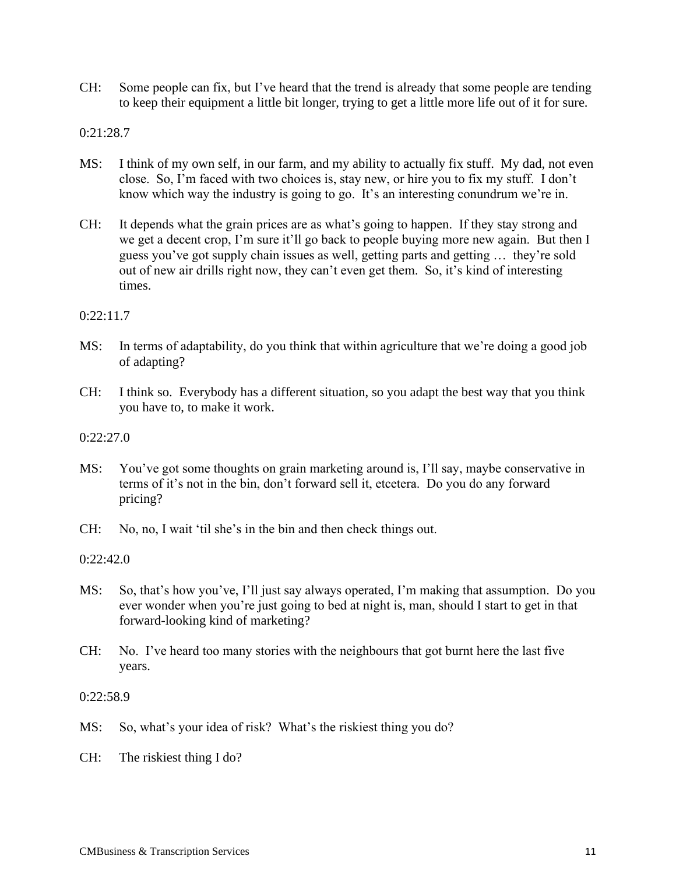CH: Some people can fix, but I've heard that the trend is already that some people are tending to keep their equipment a little bit longer, trying to get a little more life out of it for sure.

0:21:28.7

- MS: I think of my own self, in our farm, and my ability to actually fix stuff. My dad, not even close. So, I'm faced with two choices is, stay new, or hire you to fix my stuff. I don't know which way the industry is going to go. It's an interesting conundrum we're in.
- CH: It depends what the grain prices are as what's going to happen. If they stay strong and we get a decent crop, I'm sure it'll go back to people buying more new again. But then I guess you've got supply chain issues as well, getting parts and getting … they're sold out of new air drills right now, they can't even get them. So, it's kind of interesting times.

# 0:22:11.7

- MS: In terms of adaptability, do you think that within agriculture that we're doing a good job of adapting?
- CH: I think so. Everybody has a different situation, so you adapt the best way that you think you have to, to make it work.

0:22:27.0

- MS: You've got some thoughts on grain marketing around is, I'll say, maybe conservative in terms of it's not in the bin, don't forward sell it, etcetera. Do you do any forward pricing?
- CH: No, no, I wait 'til she's in the bin and then check things out.

0:22:42.0

- MS: So, that's how you've, I'll just say always operated, I'm making that assumption. Do you ever wonder when you're just going to bed at night is, man, should I start to get in that forward-looking kind of marketing?
- CH: No. I've heard too many stories with the neighbours that got burnt here the last five years.

0:22:58.9

MS: So, what's your idea of risk? What's the riskiest thing you do?

CH: The riskiest thing I do?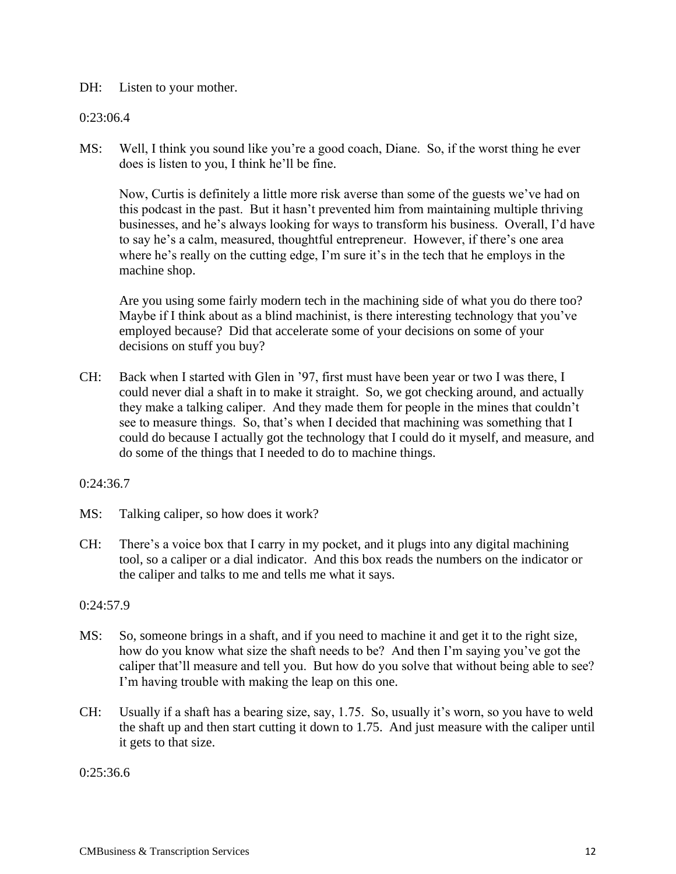# DH: Listen to your mother.

# 0:23:06.4

MS: Well, I think you sound like you're a good coach, Diane. So, if the worst thing he ever does is listen to you, I think he'll be fine.

Now, Curtis is definitely a little more risk averse than some of the guests we've had on this podcast in the past. But it hasn't prevented him from maintaining multiple thriving businesses, and he's always looking for ways to transform his business. Overall, I'd have to say he's a calm, measured, thoughtful entrepreneur. However, if there's one area where he's really on the cutting edge, I'm sure it's in the tech that he employs in the machine shop.

Are you using some fairly modern tech in the machining side of what you do there too? Maybe if I think about as a blind machinist, is there interesting technology that you've employed because? Did that accelerate some of your decisions on some of your decisions on stuff you buy?

CH: Back when I started with Glen in '97, first must have been year or two I was there, I could never dial a shaft in to make it straight. So, we got checking around, and actually they make a talking caliper. And they made them for people in the mines that couldn't see to measure things. So, that's when I decided that machining was something that I could do because I actually got the technology that I could do it myself, and measure, and do some of the things that I needed to do to machine things.

#### $0:24:36.7$

- MS: Talking caliper, so how does it work?
- CH: There's a voice box that I carry in my pocket, and it plugs into any digital machining tool, so a caliper or a dial indicator. And this box reads the numbers on the indicator or the caliper and talks to me and tells me what it says.

#### 0:24:57.9

- MS: So, someone brings in a shaft, and if you need to machine it and get it to the right size, how do you know what size the shaft needs to be? And then I'm saying you've got the caliper that'll measure and tell you. But how do you solve that without being able to see? I'm having trouble with making the leap on this one.
- CH: Usually if a shaft has a bearing size, say, 1.75. So, usually it's worn, so you have to weld the shaft up and then start cutting it down to 1.75. And just measure with the caliper until it gets to that size.

0:25:36.6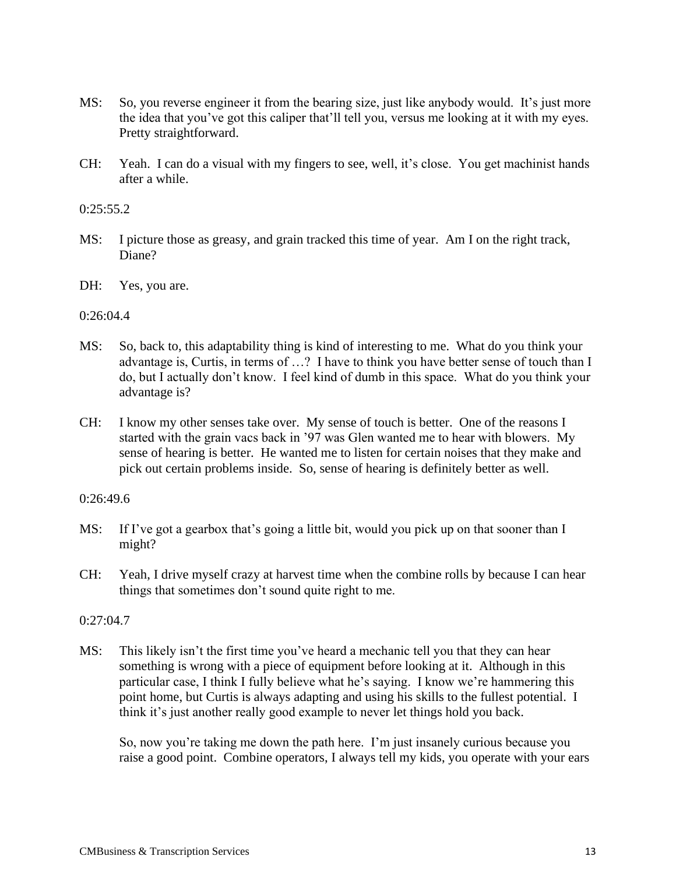- MS: So, you reverse engineer it from the bearing size, just like anybody would. It's just more the idea that you've got this caliper that'll tell you, versus me looking at it with my eyes. Pretty straightforward.
- CH: Yeah. I can do a visual with my fingers to see, well, it's close. You get machinist hands after a while.

 $0:25:55.2$ 

- MS: I picture those as greasy, and grain tracked this time of year. Am I on the right track, Diane?
- DH: Yes, you are.

0:26:04.4

- MS: So, back to, this adaptability thing is kind of interesting to me. What do you think your advantage is, Curtis, in terms of …? I have to think you have better sense of touch than I do, but I actually don't know. I feel kind of dumb in this space. What do you think your advantage is?
- CH: I know my other senses take over. My sense of touch is better. One of the reasons I started with the grain vacs back in '97 was Glen wanted me to hear with blowers. My sense of hearing is better. He wanted me to listen for certain noises that they make and pick out certain problems inside. So, sense of hearing is definitely better as well.

### 0:26:49.6

- MS: If I've got a gearbox that's going a little bit, would you pick up on that sooner than I might?
- CH: Yeah, I drive myself crazy at harvest time when the combine rolls by because I can hear things that sometimes don't sound quite right to me.

# 0:27:04.7

MS: This likely isn't the first time you've heard a mechanic tell you that they can hear something is wrong with a piece of equipment before looking at it. Although in this particular case, I think I fully believe what he's saying. I know we're hammering this point home, but Curtis is always adapting and using his skills to the fullest potential. I think it's just another really good example to never let things hold you back.

So, now you're taking me down the path here. I'm just insanely curious because you raise a good point. Combine operators, I always tell my kids, you operate with your ears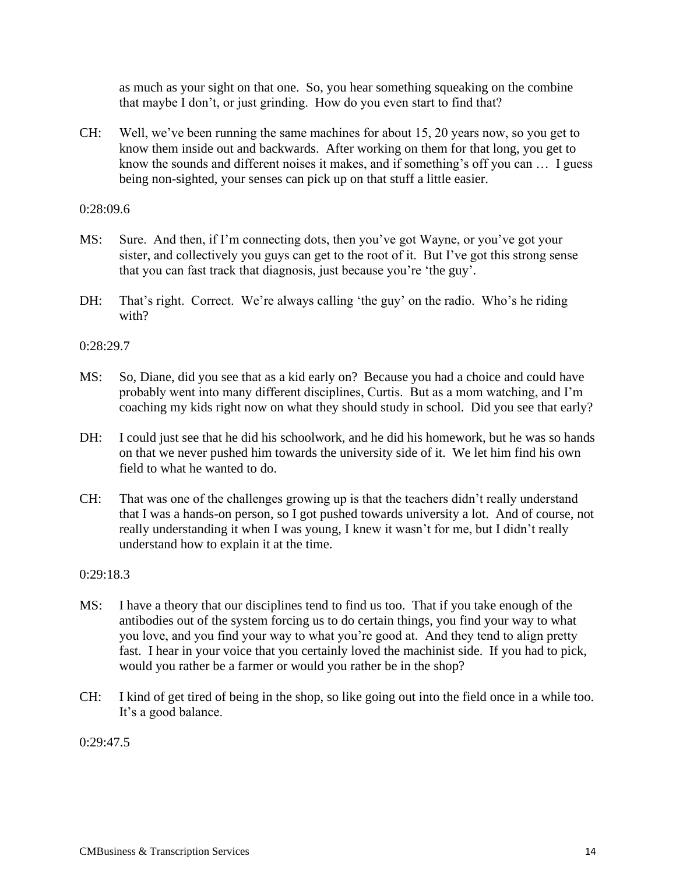as much as your sight on that one. So, you hear something squeaking on the combine that maybe I don't, or just grinding. How do you even start to find that?

CH: Well, we've been running the same machines for about 15, 20 years now, so you get to know them inside out and backwards. After working on them for that long, you get to know the sounds and different noises it makes, and if something's off you can … I guess being non-sighted, your senses can pick up on that stuff a little easier.

#### 0:28:09.6

- MS: Sure. And then, if I'm connecting dots, then you've got Wayne, or you've got your sister, and collectively you guys can get to the root of it. But I've got this strong sense that you can fast track that diagnosis, just because you're 'the guy'.
- DH: That's right. Correct. We're always calling 'the guy' on the radio. Who's he riding with?

0:28:29.7

- MS: So, Diane, did you see that as a kid early on? Because you had a choice and could have probably went into many different disciplines, Curtis. But as a mom watching, and I'm coaching my kids right now on what they should study in school. Did you see that early?
- DH: I could just see that he did his schoolwork, and he did his homework, but he was so hands on that we never pushed him towards the university side of it. We let him find his own field to what he wanted to do.
- CH: That was one of the challenges growing up is that the teachers didn't really understand that I was a hands-on person, so I got pushed towards university a lot. And of course, not really understanding it when I was young, I knew it wasn't for me, but I didn't really understand how to explain it at the time.

0:29:18.3

- MS: I have a theory that our disciplines tend to find us too. That if you take enough of the antibodies out of the system forcing us to do certain things, you find your way to what you love, and you find your way to what you're good at. And they tend to align pretty fast. I hear in your voice that you certainly loved the machinist side. If you had to pick, would you rather be a farmer or would you rather be in the shop?
- CH: I kind of get tired of being in the shop, so like going out into the field once in a while too. It's a good balance.

0:29:47.5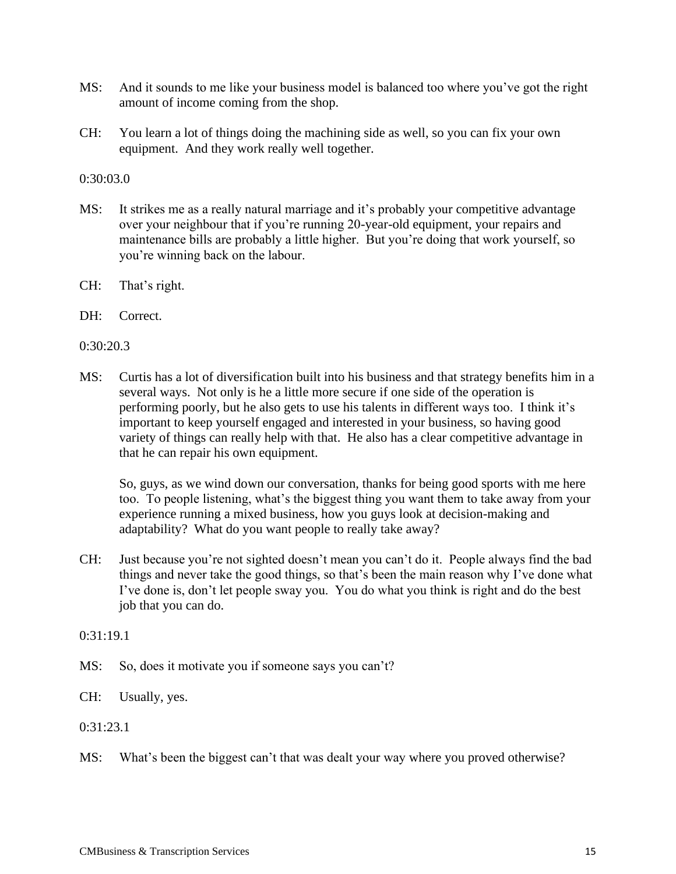- MS: And it sounds to me like your business model is balanced too where you've got the right amount of income coming from the shop.
- CH: You learn a lot of things doing the machining side as well, so you can fix your own equipment. And they work really well together.

0:30:03.0

- MS: It strikes me as a really natural marriage and it's probably your competitive advantage over your neighbour that if you're running 20-year-old equipment, your repairs and maintenance bills are probably a little higher. But you're doing that work yourself, so you're winning back on the labour.
- CH: That's right.
- DH: Correct.

0:30:20.3

MS: Curtis has a lot of diversification built into his business and that strategy benefits him in a several ways. Not only is he a little more secure if one side of the operation is performing poorly, but he also gets to use his talents in different ways too. I think it's important to keep yourself engaged and interested in your business, so having good variety of things can really help with that. He also has a clear competitive advantage in that he can repair his own equipment.

So, guys, as we wind down our conversation, thanks for being good sports with me here too. To people listening, what's the biggest thing you want them to take away from your experience running a mixed business, how you guys look at decision-making and adaptability? What do you want people to really take away?

CH: Just because you're not sighted doesn't mean you can't do it. People always find the bad things and never take the good things, so that's been the main reason why I've done what I've done is, don't let people sway you. You do what you think is right and do the best job that you can do.

 $0:31:19.1$ 

- MS: So, does it motivate you if someone says you can't?
- CH: Usually, yes.

0:31:23.1

MS: What's been the biggest can't that was dealt your way where you proved otherwise?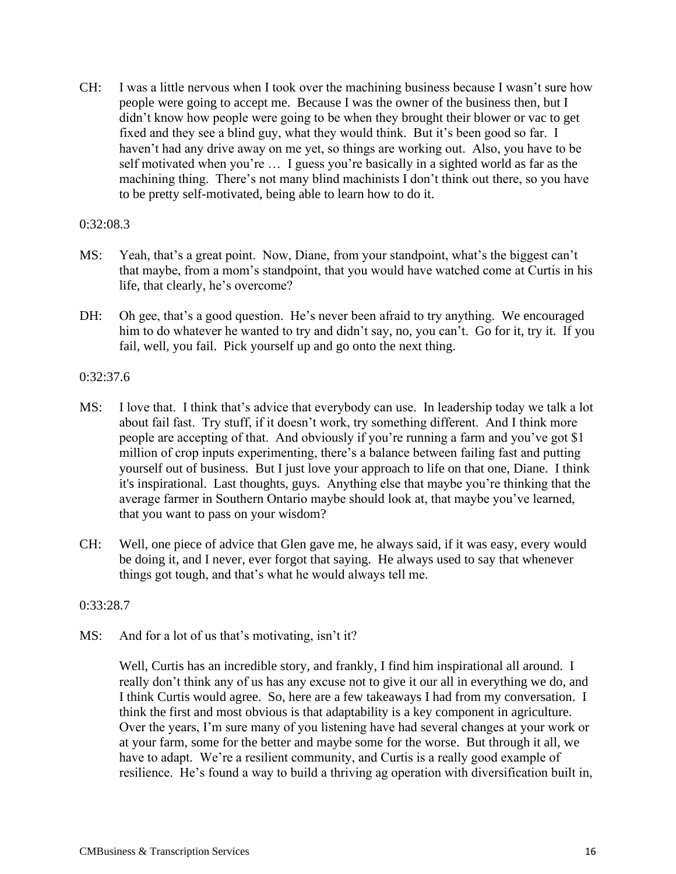CH: I was a little nervous when I took over the machining business because I wasn't sure how people were going to accept me. Because I was the owner of the business then, but I didn't know how people were going to be when they brought their blower or vac to get fixed and they see a blind guy, what they would think. But it's been good so far. I haven't had any drive away on me yet, so things are working out. Also, you have to be self motivated when you're … I guess you're basically in a sighted world as far as the machining thing. There's not many blind machinists I don't think out there, so you have to be pretty self-motivated, being able to learn how to do it.

### 0:32:08.3

- MS: Yeah, that's a great point. Now, Diane, from your standpoint, what's the biggest can't that maybe, from a mom's standpoint, that you would have watched come at Curtis in his life, that clearly, he's overcome?
- DH: Oh gee, that's a good question. He's never been afraid to try anything. We encouraged him to do whatever he wanted to try and didn't say, no, you can't. Go for it, try it. If you fail, well, you fail. Pick yourself up and go onto the next thing.

# 0:32:37.6

- MS: I love that. I think that's advice that everybody can use. In leadership today we talk a lot about fail fast. Try stuff, if it doesn't work, try something different. And I think more people are accepting of that. And obviously if you're running a farm and you've got \$1 million of crop inputs experimenting, there's a balance between failing fast and putting yourself out of business. But I just love your approach to life on that one, Diane. I think it's inspirational. Last thoughts, guys. Anything else that maybe you're thinking that the average farmer in Southern Ontario maybe should look at, that maybe you've learned, that you want to pass on your wisdom?
- CH: Well, one piece of advice that Glen gave me, he always said, if it was easy, every would be doing it, and I never, ever forgot that saying. He always used to say that whenever things got tough, and that's what he would always tell me.

#### 0:33:28.7

MS: And for a lot of us that's motivating, isn't it?

Well, Curtis has an incredible story, and frankly, I find him inspirational all around. I really don't think any of us has any excuse not to give it our all in everything we do, and I think Curtis would agree. So, here are a few takeaways I had from my conversation. I think the first and most obvious is that adaptability is a key component in agriculture. Over the years, I'm sure many of you listening have had several changes at your work or at your farm, some for the better and maybe some for the worse. But through it all, we have to adapt. We're a resilient community, and Curtis is a really good example of resilience. He's found a way to build a thriving ag operation with diversification built in,